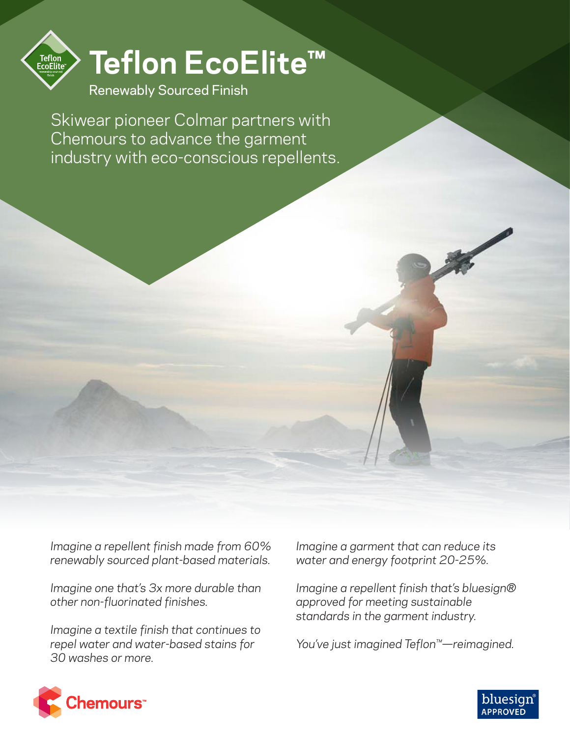

## **Teflon EcoElite™**

Renewably Sourced Finish

Skiwear pioneer Colmar partners with Chemours to advance the garment industry with eco-conscious repellents.

*Imagine a repellent finish made from 60% renewably sourced plant-based materials.*

*Imagine one that's 3x more durable than other non-fluorinated finishes.*

*Imagine a textile finish that continues to repel water and water-based stains for 30 washes or more.*

*Imagine a garment that can reduce its water and energy footprint 20-25%.*

*Imagine a repellent finish that's bluesign® approved for meeting sustainable standards in the garment industry.*

*You've just imagined Teflon™—reimagined.*



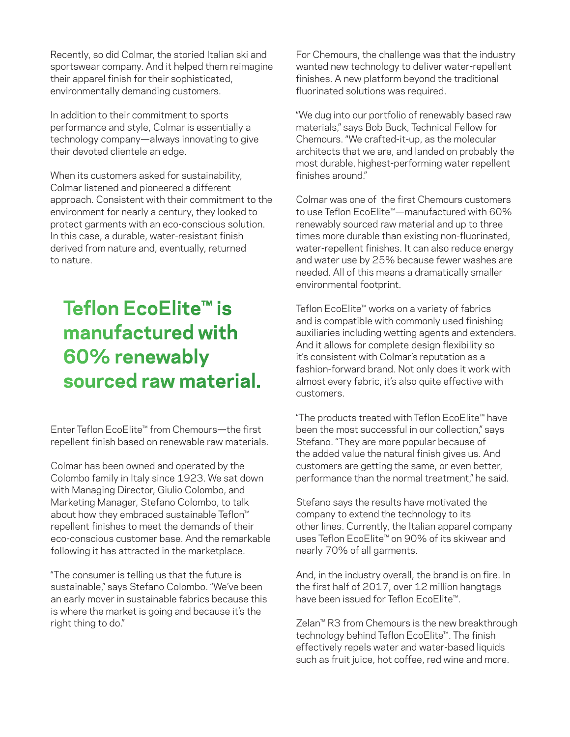Recently, so did Colmar, the storied Italian ski and sportswear company. And it helped them reimagine their apparel finish for their sophisticated, environmentally demanding customers.

In addition to their commitment to sports performance and style, Colmar is essentially a technology company—always innovating to give their devoted clientele an edge.

When its customers asked for sustainability, Colmar listened and pioneered a different approach. Consistent with their commitment to the environment for nearly a century, they looked to protect garments with an eco-conscious solution. In this case, a durable, water-resistant finish derived from nature and, eventually, returned to nature.

## **Teflon EcoElite™ is manufactured with 60% renewably sourced raw material.**

Enter Teflon EcoElite™ from Chemours—the first repellent finish based on renewable raw materials.

Colmar has been owned and operated by the Colombo family in Italy since 1923. We sat down with Managing Director, Giulio Colombo, and Marketing Manager, Stefano Colombo, to talk about how they embraced sustainable Teflon™ repellent finishes to meet the demands of their eco-conscious customer base. And the remarkable following it has attracted in the marketplace.

"The consumer is telling us that the future is sustainable," says Stefano Colombo. "We've been an early mover in sustainable fabrics because this is where the market is going and because it's the right thing to do."

For Chemours, the challenge was that the industry wanted new technology to deliver water-repellent finishes. A new platform beyond the traditional fluorinated solutions was required.

"We dug into our portfolio of renewably based raw materials," says Bob Buck, Technical Fellow for Chemours. "We crafted-it-up, as the molecular architects that we are, and landed on probably the most durable, highest-performing water repellent finishes around."

Colmar was one of the first Chemours customers to use Teflon EcoElite™—manufactured with 60% renewably sourced raw material and up to three times more durable than existing non-fluorinated, water-repellent finishes. It can also reduce energy and water use by 25% because fewer washes are needed. All of this means a dramatically smaller environmental footprint.

Teflon EcoElite™ works on a variety of fabrics and is compatible with commonly used finishing auxiliaries including wetting agents and extenders. And it allows for complete design flexibility so it's consistent with Colmar's reputation as a fashion-forward brand. Not only does it work with almost every fabric, it's also quite effective with customers.

"The products treated with Teflon EcoElite™ have been the most successful in our collection," says Stefano. "They are more popular because of the added value the natural finish gives us. And customers are getting the same, or even better, performance than the normal treatment," he said.

Stefano says the results have motivated the company to extend the technology to its other lines. Currently, the Italian apparel company uses Teflon EcoElite™ on 90% of its skiwear and nearly 70% of all garments.

And, in the industry overall, the brand is on fire. In the first half of 2017, over 12 million hangtags have been issued for Teflon EcoElite™.

Zelan™ R3 from Chemours is the new breakthrough technology behind Teflon EcoElite™. The finish effectively repels water and water-based liquids such as fruit juice, hot coffee, red wine and more.